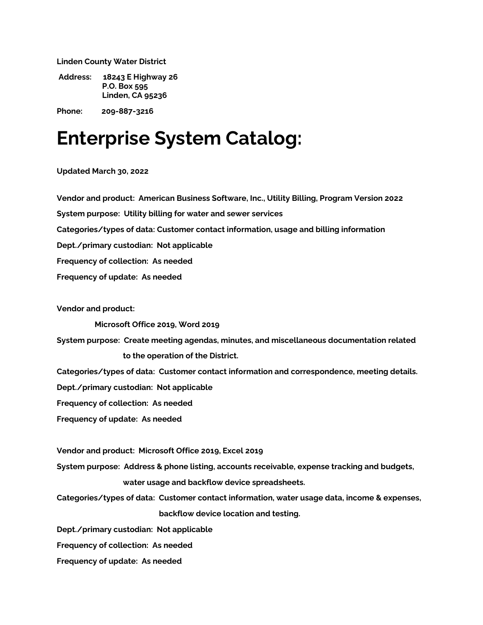**Linden County Water District**

**Address: 18243 E Highway 26 P.O. Box 595 Linden, CA 95236** 

**Phone: 209-887-3216**

## **Enterprise System Catalog:**

**Updated March 30, 2022**

**Vendor and product: American Business Software, Inc., Utility Billing, Program Version 2022**

**System purpose: Utility billing for water and sewer services**

**Categories/types of data: Customer contact information, usage and billing information**

**Dept./primary custodian: Not applicable**

**Frequency of collection: As needed**

**Frequency of update: As needed**

**Vendor and product:**

**Microsoft Office 2019, Word 2019**

**System purpose: Create meeting agendas, minutes, and miscellaneous documentation related to the operation of the District.**

**Categories/types of data: Customer contact information and correspondence, meeting details.**

**Dept./primary custodian: Not applicable**

**Frequency of collection: As needed**

**Frequency of update: As needed**

**Vendor and product: Microsoft Office 2019, Excel 2019**

**System purpose: Address & phone listing, accounts receivable, expense tracking and budgets, water usage and backflow device spreadsheets.**

**Categories/types of data: Customer contact information, water usage data, income & expenses, backflow device location and testing.** 

**Dept./primary custodian: Not applicable**

**Frequency of collection: As needed**

**Frequency of update: As needed**